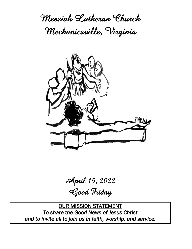**Messiah Lutheran Church Mechanicsville, Virginia**



**April 15, 2022**

**Good Friday**

OUR MISSION STATEMENT *To share the Good News of Jesus Christ and to invite all to join us in faith, worship, and service.*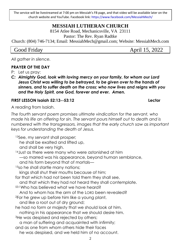The service will be livestreamed at 7:00 pm on Messiah's FB page, and that video will be available later on the church website and YouTube. Facebook link: https://www.facebook.com/MessiahMech/

# **MESSIAH LUTHERAN CHURCH**

8154 Atlee Road, Mechanicsville, VA 23111

Pastor: The Rev. Ryan Radtke

Church: (804) 746-7134; Email: MessiahMech@gmail.com; Website: MessiahMech.com

Good Friday **April 15, 2022** 

*All gather in silence.*

## **PRAYER OF THE DAY**

P: Let us pray:

*C: Almighty God, look with loving mercy on your family, for whom our Lord Jesus Christ was willing to be betrayed, to be given over to the hands of sinners, and to suffer death on the cross; who now lives and reigns with you and the Holy Spirit, one God, forever and ever. Amen.*

### **FIRST LESSON Isaiah 52:13--53:12 Lector**

A reading from Isaiah.

*The fourth servant poem promises ultimate vindication for the servant, who made his life an offering for sin. The servant pours himself out to death and is numbered with the transgressors, images that the early church saw as important keys for understanding the death of Jesus.*

<sup>13</sup>See, my servant shall prosper; he shall be exalted and lifted up, and shall be very high. <sup>14</sup> Just as there were many who were astonished at him —so marred was his appearance, beyond human semblance, and his form beyond that of mortals— <sup>15</sup>so he shall startle many nations; kings shall shut their mouths because of him; for that which had not been told them they shall see, and that which they had not heard they shall contemplate. 53:1Who has believed what we have heard? And to whom has the arm of the LORD been revealed? <sup>2</sup>For he grew up before him like a young plant, and like a root out of dry ground; he had no form or majesty that we should look at him, nothing in his appearance that we should desire him. <sup>3</sup>He was despised and rejected by others; a man of suffering and acquainted with infirmity; and as one from whom others hide their faces he was despised, and we held him of no account.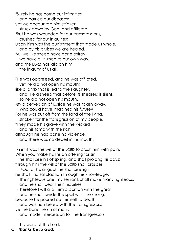<sup>4</sup>Surely he has borne our infirmities and carried our diseases; yet we accounted him stricken, struck down by God, and afflicted. <sup>5</sup>But he was wounded for our transgressions, crushed for our iniquities; upon him was the punishment that made us whole, and by his bruises we are healed. <sup>6</sup>All we like sheep have gone astray; we have all turned to our own way, and the LORD has laid on him the iniquity of us all. <sup>7</sup>He was oppressed, and he was afflicted, yet he did not open his mouth; like a lamb that is led to the slaughter, and like a sheep that before its shearers is silent, so he did not open his mouth.

<sup>8</sup>By a perversion of justice he was taken away. Who could have imagined his future?

For he was cut off from the land of the living,

stricken for the transgression of my people.

<sup>9</sup>They made his grave with the wicked and his tomb with the rich,

although he had done no violence, and there was no deceit in his mouth.

<sup>10</sup>Yet it was the will of the LORD to crush him with pain. When you make his life an offering for sin,

he shall see his offspring, and shall prolong his days; through him the will of the LORD shall prosper.

<sup>11</sup>Out of his anguish he shall see light;

he shall find satisfaction through his knowledge.

The righteous one, my servant, shall make many righteous, and he shall bear their iniquities.

<sup>12</sup>Therefore I will allot him a portion with the great,

and he shall divide the spoil with the strong;

because he poured out himself to death,

and was numbered with the transgressors;

yet he bore the sin of many,

and made intercession for the transgressors.

- L: The word of the Lord.
- **C:** *Thanks be to God.*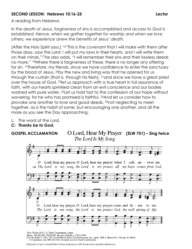## **SECOND LESSON: Hebrews 10:16-25 Lector**

A reading from Hebrews.

*In the death of Jesus, forgiveness of sins is accomplished and access to God is established. Hence, when we gather together for worship and when we love others, we experience anew the benefits of Jesus' death.*

[After the Holy Spirit says,] <sup>16"</sup>This is the covenant that I will make with them after those days, says the Lord: I will put my laws in their hearts, and I will write them on their minds,"17he also adds, "I will remember their sins and their lawless deeds no more." <sup>18</sup>Where there is forgiveness of these, there is no longer any offering for sin. <sup>19</sup>Therefore, my friends, since we have confidence to enter the sanctuary by the blood of Jesus, 20by the new and living way that he opened for us through the curtain (that is, through his flesh), 21and since we have a great priest over the house of God, 22let us approach with a true heart in full assurance of faith, with our hearts sprinkled clean from an evil conscience and our bodies washed with pure water. 23Let us hold fast to the confession of our hope without wavering, for he who has promised is faithful. 24And let us consider how to provoke one another to love and good deeds, 25not neglecting to meet together, as is the habit of some, but encouraging one another, and all the more as you see the Day approaching.

- L: The word of the Lord.
- **C:** *Thanks be to God.*



**GOSPEL ACCLAMATION****(ELW 751) – Sing twice**The Lord Is My Song

Text: Psalm 102:1-2; Taizé Community, adapt.<br>
Music: HEAR MY PRAYER, Jacques Berthier, 1923-1994<br>
Text and music © 1982, 1991 Les Presses de Taizé, GIA Publications, Inc., agent. 7404 S. Mason Ave., Chicago, IL 60638.<br>
www

Duplication in any form prohibited without permission or valid license from copyright administrator.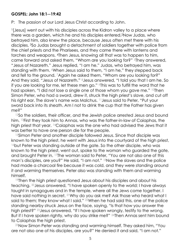### **GOSPEL: John 18:1--19:42**

P: The passion of our Lord Jesus Christ according to John.

<sup>1</sup>[Jesus] went out with his disciples across the Kidron valley to a place where there was a garden, which he and his disciples entered.2Now Judas, who betrayed him, also knew the place, because Jesus often met there with his disciples. 3So Judas brought a detachment of soldiers together with police from the chief priests and the Pharisees, and they came there with lanterns and torches and weapons. 4Then Jesus, knowing all that was to happen to him, came forward and asked them, "Whom are you looking for?" 5They answered, "Jesus of Nazareth." Jesus replied, "I am he." Judas, who betrayed him, was standing with them. 6When Jesus said to them, "I am he," they stepped back and fell to the ground. 7Again he asked them, "Whom are you looking for?" And they said, "Jesus of Nazareth." <sup>8</sup>Jesus answered, "I told you that I am he. So if you are looking for me, let these men go." 9This was to fulfill the word that he had spoken, "I did not lose a single one of those whom you gave me." <sup>10</sup>Then Simon Peter, who had a sword, drew it, struck the high priest's slave, and cut off his right ear. The slave's name was Malchus. 11Jesus said to Peter, "Put your sword back into its sheath. Am I not to drink the cup that the Father has given me?"

<sup>12</sup>So the soldiers, their officer, and the Jewish police arrested Jesus and bound him. 13First they took him to Annas, who was the father-in-law of Caiaphas, the high priest that year. 14Caiaphas was the one who had advised the Jews that it was better to have one person die for the people.

<sup>15</sup>Simon Peter and another disciple followed Jesus. Since that disciple was known to the high priest, he went with Jesus into the courtyard of the high priest, <sup>16</sup>but Peter was standing outside at the gate. So the other disciple, who was known to the high priest, went out, spoke to the woman who guarded the gate, and brought Peter in. 17The woman said to Peter, "You are not also one of this man's disciples, are you?" He said, "I am not." 18Now the slaves and the police had made a charcoal fire because it was cold, and they were standing around it and warming themselves. Peter also was standing with them and warming himself.

<sup>19</sup>Then the high priest questioned Jesus about his disciples and about his teaching. 20Jesus answered, "I have spoken openly to the world; I have always taught in synagogues and in the temple, where all the Jews come together. I have said nothing in secret. 21Why do you ask me? Ask those who heard what I said to them; they know what I said." <sup>22</sup>When he had said this, one of the police standing nearby struck Jesus on the face, saying, "Is that how you answer the high priest?" 23Jesus answered, "If I have spoken wrongly, testify to the wrong. But if I have spoken rightly, why do you strike me?" <sup>24</sup>Then Annas sent him bound to Caiaphas the high priest.

<sup>25</sup>Now Simon Peter was standing and warming himself. They asked him, "You are not also one of his disciples, are you?" He denied it and said, "I am not."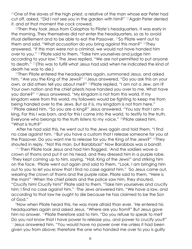<sup>26</sup>One of the slaves of the high priest, a relative of the man whose ear Peter had cut off, asked, "Did I not see you in the garden with him?" 27Again Peter denied it, and at that moment the cock crowed.

<sup>28</sup>Then they took Jesus from Caiaphas to Pilate's headquarters. It was early in the morning. They themselves did not enter the headquarters, so as to avoid ritual defilement and to be able to eat the Passover. 29So Pilate went out to them and said, "What accusation do you bring against this man?" 30They answered, "If this man were not a criminal, we would not have handed him over to you." 31Pilate said to them, "Take him yourselves and judge him according to your law." The Jews replied, "We are not permitted to put anyone to death." 32(This was to fulfill what Jesus had said when he indicated the kind of death he was to die.)

<sup>33</sup>Then Pilate entered the headquarters again, summoned Jesus, and asked him, "Are you the King of the Jews?" 34Jesus answered, "Do you ask this on your own, or did others tell you about me?" 35Pilate replied, "I am not a Jew, am I? Your own nation and the chief priests have handed you over to me. What have you done?" 36Jesus answered, "My kingdom is not from this world. If my kingdom were from this world, my followers would be fighting to keep me from being handed over to the Jews. But as it is, my kingdom is not from here." <sup>37</sup>Pilate asked him, "So you are a king?" Jesus answered, "You say that I am a king. For this I was born, and for this I came into the world, to testify to the truth. Everyone who belongs to the truth listens to my voice." 38Pilate asked him, "What is truth?"

After he had said this, he went out to the Jews again and told them, "I find no case against him. 39But you have a custom that I release someone for you at the Passover. Do you want me to release for you the King of the Jews?" 40They shouted in reply, "Not this man, but Barabbas!" Now Barabbas was a bandit.

19:1Then Pilate took Jesus and had him flogged. <sup>2</sup>And the soldiers wove a crown of thorns and put it on his head, and they dressed him in a purple robe. <sup>3</sup>They kept coming up to him, saying, "Hail, King of the Jews!" and striking him on the face. 4Pilate went out again and said to them, "Look, I am bringing him out to you to let you know that I find no case against him." 5So Jesus came out, wearing the crown of thorns and the purple robe. Pilate said to them, "Here is the man!" <sup>6</sup>When the chief priests and the police saw him, they shouted, "Crucify him! Crucify him!" Pilate said to them, "Take him yourselves and crucify him; I find no case against him." The Jews answered him, "We have a law, and according to that law he ought to die because he has claimed to be the Son of God."

<sup>8</sup>Now when Pilate heard this, he was more afraid than ever. <sup>9</sup>He entered his headquarters again and asked Jesus, "Where are you from?" But Jesus gave him no answer. <sup>10</sup>Pilate therefore said to him, "Do you refuse to speak to me? Do you not know that I have power to release you, and power to crucify you?" <sup>11</sup> Jesus answered him, "You would have no power over me unless it had been given you from above; therefore the one who handed me over to you is guilty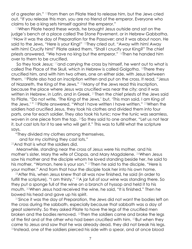of a greater sin." 12From then on Pilate tried to release him, but the Jews cried out, "If you release this man, you are no friend of the emperor. Everyone who claims to be a king sets himself against the emperor."

<sup>13</sup>When Pilate heard these words, he brought Jesus outside and sat on the judge's bench at a place called The Stone Pavement, or in Hebrew Gabbatha. <sup>14</sup>Now it was the day of Preparation for the Passover; and it was about noon. He said to the Jews, "Here is your King!" 15They cried out, "Away with him! Away with him! Crucify him!" Pilate asked them, "Shall I crucify your King?" The chief priests answered, "We have no king but the emperor." 16Then he handed him over to them to be crucified.

So they took Jesus; 17 and carrying the cross by himself, he went out to what is called The Place of the Skull, which in Hebrew is called Golgotha. 18There they crucified him, and with him two others, one on either side, with Jesus between them. 19Pilate also had an inscription written and put on the cross. It read, "Jesus of Nazareth, the King of the Jews." 20Many of the Jews read this inscription, because the place where Jesus was crucified was near the city; and it was written in Hebrew, in Latin, and in Greek. 21Then the chief priests of the Jews said to Pilate, "Do not write, 'The King of the Jews,' but, 'This man said, I am King of the Jews.' " <sup>22</sup>Pilate answered, "What I have written I have written." 23When the soldiers had crucified Jesus, they took his clothes and divided them into four parts, one for each soldier. They also took his tunic; now the tunic was seamless, woven in one piece from the top. 24So they said to one another, "Let us not tear it, but cast lots for it to see who will get it." This was to fulfill what the scripture says,

"They divided my clothes among themselves,

and for my clothing they cast lots."

<sup>25</sup>And that is what the soldiers did.

Meanwhile, standing near the cross of Jesus were his mother, and his mother's sister, Mary the wife of Clopas, and Mary Magdalene. 26When Jesus saw his mother and the disciple whom he loved standing beside her, he said to his mother, "Woman, here is your son." 27Then he said to the disciple, "Here is your mother." And from that hour the disciple took her into his own home.

<sup>28</sup>After this, when Jesus knew that all was now finished, he said (in order to fulfill the scripture), "I am thirsty." <sup>29</sup>A jar full of sour wine was standing there. So they put a sponge full of the wine on a branch of hyssop and held it to his mouth. 30When Jesus had received the wine, he said, "It is finished." Then he bowed his head and gave up his spirit.

<sup>31</sup>Since it was the day of Preparation, the Jews did not want the bodies left on the cross during the sabbath, especially because that sabbath was a day of great solemnity. So they asked Pilate to have the legs of the crucified men broken and the bodies removed. 32Then the soldiers came and broke the legs of the first and of the other who had been crucified with him. 33But when they came to Jesus and saw that he was already dead, they did not break his legs. 34Instead, one of the soldiers pierced his side with a spear, and at once blood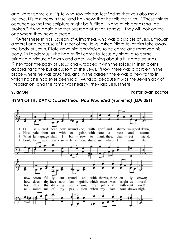and water came out. 35(He who saw this has testified so that you also may believe. His testimony is true, and he knows that he tells the truth.) 36These things occurred so that the scripture might be fulfilled, "None of his bones shall be broken." 37And again another passage of scripture says, "They will look on the one whom they have pierced."

<sup>38</sup>After these things, Joseph of Arimathea, who was a disciple of Jesus, though a secret one because of his fear of the Jews, asked Pilate to let him take away the body of Jesus. Pilate gave him permission; so he came and removed his body. 39Nicodemus, who had at first come to Jesus by night, also came, bringing a mixture of myrrh and aloes, weighing about a hundred pounds. <sup>40</sup>They took the body of Jesus and wrapped it with the spices in linen cloths, according to the burial custom of the Jews. 41Now there was a garden in the place where he was crucified, and in the garden there was a new tomb in which no one had ever been laid. <sup>42</sup>And so, because it was the Jewish day of Preparation, and the tomb was nearby, they laid Jesus there.

#### **SERMON Pastor Ryan Radtke**



#### **HYMN OF THE DAY** *O Sacred Head, Now Wounded (isometric)* **(ELW 351)**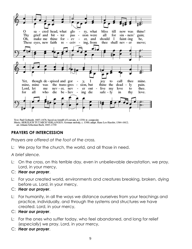

Text: Paul Gerhardt, 1607-1676, based on Arnulf of Louvain, d. 1250; tr. composite Music: HERZLICH TUT MICH VERLANGEN, German melody, c. 1500; adapt. Hans Leo Hassler, 1564-1612; arr. Johann Sebastian Bach, 1685-1750

# **PRAYERS OF INTERCESSION**

*Prayers are offered at the foot of the cross.*

L: We pray for the church, the world, and all those in need.

*A brief silence.*

- L: On the cross, on this terrible day, even in unbelievable devastation, we pray. Lord, in your mercy,
- C: *Hear our prayer*.
- L: For your created world, environments and creatures breaking, broken, dying before us. Lord, in your mercy,
- C: *Hear our prayer*.
- L: For humanity, in all the ways we distance ourselves from your teachings and practice, individually, and through the systems and structures we have created. Lord, in your mercy,
- C: *Hear our prayer*.
- L: For the ones who suffer today, who feel abandoned, and long for relief (*especially*) we pray. Lord, in your mercy,
- C: *Hear our prayer*.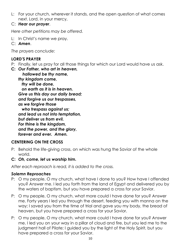- L: For your church, wherever it stands, and the open question of what comes next. Lord, in your mercy,
- C: *Hear our prayer*.

*Here other petitions may be offered.*

- L: In Christ's name we pray.
- C: *Amen*.

*The prayers conclude:*

# **LORD'S PRAYER**

P: Finally, let us pray for all those things for which our Lord would have us ask.

**C:** *Our Father, who art in heaven, hallowed be thy name, thy kingdom come, thy will be done, on earth as it is in heaven. Give us this day our daily bread; and forgive us our trespasses, as we forgive those who trespass against us; and lead us not into temptation, but deliver us from evil. For thine is the kingdom, and the power, and the glory, forever and ever. Amen.*

# **CENTERING ON THE CROSS**

- P: Behold the life-giving cross, on which was hung the Savior of the whole world.
- **C:** *Oh, come, let us worship him.*

*After each reproach is read, it is added to the cross.*

## *Solemn Reproaches*

- P: O my people, O my church, what have I done to you? How have I offended you? Answer me. I led you forth from the land of Egypt and delivered you by the waters of baptism, but you have prepared a cross for your Savior.
- P: O my people, O my church, what more could I have done for you? Answer me. Forty years I led you through the desert, feeding you with manna on the way; I saved you from the time of trial and gave you my body, the bread of heaven, but you have prepared a cross for your Savior.
- P: O my people, O my church, what more could I have done for you? Answer me. I led you on your way in a pillar of cloud and fire, but you led me to the judgment hall of Pilate; I guided you by the light of the Holy Spirit, but you have prepared a cross for your Savior.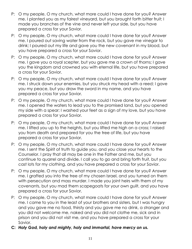- P: O my people, O my church, what more could I have done for you? Answer me. I planted you as my fairest vineyard, but you brought forth bitter fruit; I made you branches of the vine and never left your side, but you have prepared a cross for your Savior.
- P: O my people, O my church, what more could I have done for you? Answer me. I poured out saving water from the rock, but you gave me vinegar to drink; I poured out my life and gave you the new covenant in my blood, but you have prepared a cross for your Savior.
- P: O my people, O my church, what more could I have done for you? Answer me. I gave you a royal scepter, but you gave me a crown of thorns; I gave you the kingdom and crowned you with eternal life, but you have prepared a cross for your Savior.
- P: O my people, O my church, what more could I have done for you? Answer me. I struck down your enemies, but you struck my head with a reed; I gave you my peace, but you draw the sword in my name, and you have prepared a cross for your Savior.
- P: O my people, O my church, what more could I have done for you? Answer me. I opened the waters to lead you to the promised land, but you opened my side with a spear; I washed your feet as a sign of my love, but you have prepared a cross for your Savior.
- P: O my people, O my church, what more could I have done for you? Answer me. I lifted you up to the heights, but you lifted me high on a cross; I raised you from death and prepared for you the tree of life, but you have prepared a cross for your Savior.
- P: O my people, O my church, what more could I have done for you? Answer me. I sent the Spirit of truth to guide you, and you close your hearts to the Counselor. I pray that all may be one in the Father and me, but you continue to quarrel and divide. I call you to go and bring forth fruit, but you cast lots for my clothing, and you have prepared a cross for your Savior.
- P: O my people, O my church, what more could I have done for you? Answer me. I grafted you into the tree of my chosen Israel, and you turned on them with persecution and mass murder. I made you joint heirs with them of my covenants, but you mad them scapegoats for your own guilt, and you have prepared a cross for your Savior.
- P: O my people, O my church, what more could I have done for you? Answer me. I came to you in the least of your brothers and sisters, but I was hungry and you gave me no food, thirsty and you gave me no drink, a stranger and you did not welcome me, naked and you did not clothe me, sick and in prison and you did not visit me, and you have prepared a cross for your Savior.
- **C:** *Holy God, holy and mighty, holy and immortal, have mercy on us.*